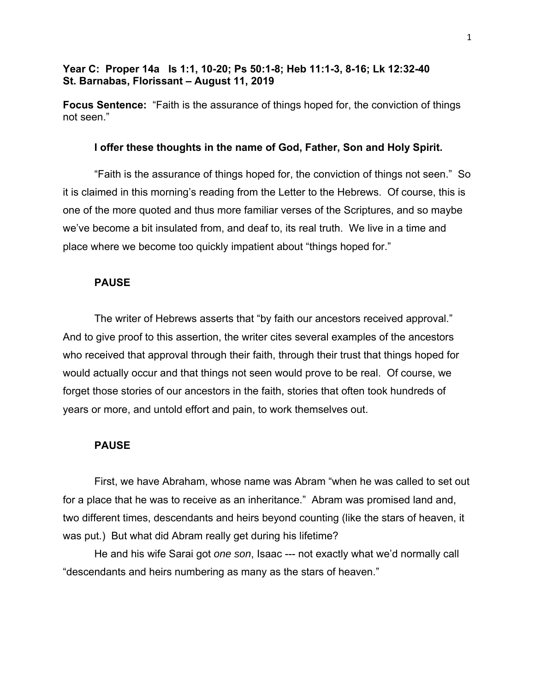# **Year C: Proper 14a Is 1:1, 10-20; Ps 50:1-8; Heb 11:1-3, 8-16; Lk 12:32-40 St. Barnabas, Florissant – August 11, 2019**

**Focus Sentence:** "Faith is the assurance of things hoped for, the conviction of things not seen."

### **I offer these thoughts in the name of God, Father, Son and Holy Spirit.**

"Faith is the assurance of things hoped for, the conviction of things not seen." So it is claimed in this morning's reading from the Letter to the Hebrews. Of course, this is one of the more quoted and thus more familiar verses of the Scriptures, and so maybe we've become a bit insulated from, and deaf to, its real truth. We live in a time and place where we become too quickly impatient about "things hoped for."

#### **PAUSE**

The writer of Hebrews asserts that "by faith our ancestors received approval." And to give proof to this assertion, the writer cites several examples of the ancestors who received that approval through their faith, through their trust that things hoped for would actually occur and that things not seen would prove to be real. Of course, we forget those stories of our ancestors in the faith, stories that often took hundreds of years or more, and untold effort and pain, to work themselves out.

### **PAUSE**

First, we have Abraham, whose name was Abram "when he was called to set out for a place that he was to receive as an inheritance." Abram was promised land and, two different times, descendants and heirs beyond counting (like the stars of heaven, it was put.) But what did Abram really get during his lifetime?

He and his wife Sarai got *one son*, Isaac --- not exactly what we'd normally call "descendants and heirs numbering as many as the stars of heaven."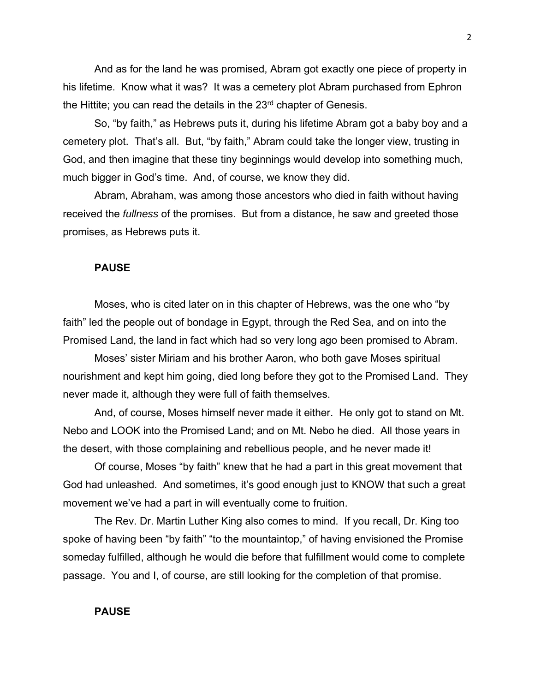And as for the land he was promised, Abram got exactly one piece of property in his lifetime. Know what it was? It was a cemetery plot Abram purchased from Ephron the Hittite; you can read the details in the  $23<sup>rd</sup>$  chapter of Genesis.

So, "by faith," as Hebrews puts it, during his lifetime Abram got a baby boy and a cemetery plot. That's all. But, "by faith," Abram could take the longer view, trusting in God, and then imagine that these tiny beginnings would develop into something much, much bigger in God's time. And, of course, we know they did.

Abram, Abraham, was among those ancestors who died in faith without having received the *fullness* of the promises. But from a distance, he saw and greeted those promises, as Hebrews puts it.

#### **PAUSE**

Moses, who is cited later on in this chapter of Hebrews, was the one who "by faith" led the people out of bondage in Egypt, through the Red Sea, and on into the Promised Land, the land in fact which had so very long ago been promised to Abram.

Moses' sister Miriam and his brother Aaron, who both gave Moses spiritual nourishment and kept him going, died long before they got to the Promised Land. They never made it, although they were full of faith themselves.

And, of course, Moses himself never made it either. He only got to stand on Mt. Nebo and LOOK into the Promised Land; and on Mt. Nebo he died. All those years in the desert, with those complaining and rebellious people, and he never made it!

Of course, Moses "by faith" knew that he had a part in this great movement that God had unleashed. And sometimes, it's good enough just to KNOW that such a great movement we've had a part in will eventually come to fruition.

The Rev. Dr. Martin Luther King also comes to mind. If you recall, Dr. King too spoke of having been "by faith" "to the mountaintop," of having envisioned the Promise someday fulfilled, although he would die before that fulfillment would come to complete passage. You and I, of course, are still looking for the completion of that promise.

# **PAUSE**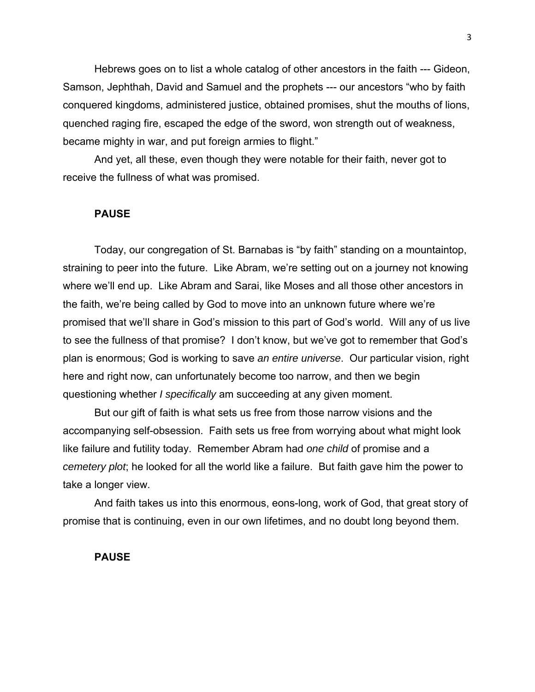Hebrews goes on to list a whole catalog of other ancestors in the faith --- Gideon, Samson, Jephthah, David and Samuel and the prophets --- our ancestors "who by faith conquered kingdoms, administered justice, obtained promises, shut the mouths of lions, quenched raging fire, escaped the edge of the sword, won strength out of weakness, became mighty in war, and put foreign armies to flight."

And yet, all these, even though they were notable for their faith, never got to receive the fullness of what was promised.

#### **PAUSE**

Today, our congregation of St. Barnabas is "by faith" standing on a mountaintop, straining to peer into the future. Like Abram, we're setting out on a journey not knowing where we'll end up. Like Abram and Sarai, like Moses and all those other ancestors in the faith, we're being called by God to move into an unknown future where we're promised that we'll share in God's mission to this part of God's world. Will any of us live to see the fullness of that promise? I don't know, but we've got to remember that God's plan is enormous; God is working to save *an entire universe*. Our particular vision, right here and right now, can unfortunately become too narrow, and then we begin questioning whether *I specifically* am succeeding at any given moment.

But our gift of faith is what sets us free from those narrow visions and the accompanying self-obsession. Faith sets us free from worrying about what might look like failure and futility today. Remember Abram had *one child* of promise and a *cemetery plot*; he looked for all the world like a failure. But faith gave him the power to take a longer view.

And faith takes us into this enormous, eons-long, work of God, that great story of promise that is continuing, even in our own lifetimes, and no doubt long beyond them.

## **PAUSE**